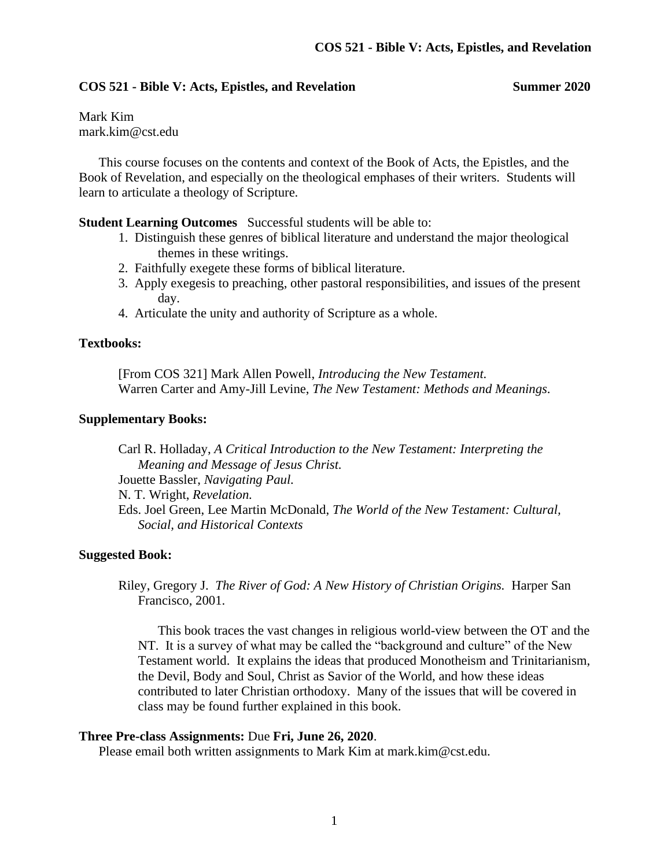# **COS 521 - Bible V: Acts, Epistles, and Revelation Summer 2020**

Mark Kim mark.kim@cst.edu

This course focuses on the contents and context of the Book of Acts, the Epistles, and the Book of Revelation, and especially on the theological emphases of their writers. Students will learn to articulate a theology of Scripture.

### **Student Learning Outcomes** Successful students will be able to:

- 1. Distinguish these genres of biblical literature and understand the major theological themes in these writings.
- 2. Faithfully exegete these forms of biblical literature.
- 3. Apply exegesis to preaching, other pastoral responsibilities, and issues of the present day.
- 4. Articulate the unity and authority of Scripture as a whole.

#### **Textbooks:**

[From COS 321] Mark Allen Powell, *Introducing the New Testament.* Warren Carter and Amy-Jill Levine, *The New Testament: Methods and Meanings.*

#### **Supplementary Books:**

Carl R. Holladay, *A Critical Introduction to the New Testament: Interpreting the Meaning and Message of Jesus Christ.* Jouette Bassler, *Navigating Paul.* N. T. Wright, *Revelation.* Eds. Joel Green, Lee Martin McDonald, *The World of the New Testament: Cultural, Social, and Historical Contexts*

#### **Suggested Book:**

Riley, Gregory J. *The River of God: A New History of Christian Origins.* Harper San Francisco, 2001.

This book traces the vast changes in religious world-view between the OT and the NT. It is a survey of what may be called the "background and culture" of the New Testament world. It explains the ideas that produced Monotheism and Trinitarianism, the Devil, Body and Soul, Christ as Savior of the World, and how these ideas contributed to later Christian orthodoxy. Many of the issues that will be covered in class may be found further explained in this book.

#### **Three Pre-class Assignments:** Due **Fri, June 26, 2020**.

Please email both written assignments to Mark Kim at mark.kim@cst.edu.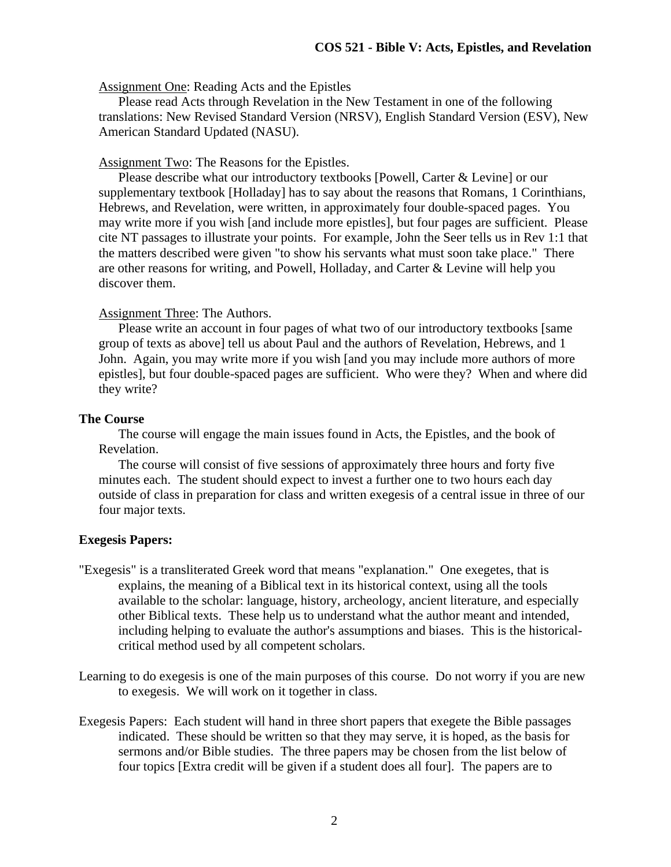Assignment One: Reading Acts and the Epistles

Please read Acts through Revelation in the New Testament in one of the following translations: New Revised Standard Version (NRSV), English Standard Version (ESV), New American Standard Updated (NASU).

# Assignment Two: The Reasons for the Epistles.

Please describe what our introductory textbooks [Powell, Carter & Levine] or our supplementary textbook [Holladay] has to say about the reasons that Romans, 1 Corinthians, Hebrews, and Revelation, were written, in approximately four double-spaced pages. You may write more if you wish [and include more epistles], but four pages are sufficient. Please cite NT passages to illustrate your points. For example, John the Seer tells us in Rev 1:1 that the matters described were given "to show his servants what must soon take place." There are other reasons for writing, and Powell, Holladay, and Carter & Levine will help you discover them.

# Assignment Three: The Authors.

Please write an account in four pages of what two of our introductory textbooks [same group of texts as above] tell us about Paul and the authors of Revelation, Hebrews, and 1 John. Again, you may write more if you wish [and you may include more authors of more epistles], but four double-spaced pages are sufficient. Who were they? When and where did they write?

### **The Course**

The course will engage the main issues found in Acts, the Epistles, and the book of Revelation.

The course will consist of five sessions of approximately three hours and forty five minutes each. The student should expect to invest a further one to two hours each day outside of class in preparation for class and written exegesis of a central issue in three of our four major texts.

# **Exegesis Papers:**

- "Exegesis" is a transliterated Greek word that means "explanation." One exegetes, that is explains, the meaning of a Biblical text in its historical context, using all the tools available to the scholar: language, history, archeology, ancient literature, and especially other Biblical texts. These help us to understand what the author meant and intended, including helping to evaluate the author's assumptions and biases. This is the historicalcritical method used by all competent scholars.
- Learning to do exegesis is one of the main purposes of this course. Do not worry if you are new to exegesis. We will work on it together in class.
- Exegesis Papers: Each student will hand in three short papers that exegete the Bible passages indicated. These should be written so that they may serve, it is hoped, as the basis for sermons and/or Bible studies. The three papers may be chosen from the list below of four topics [Extra credit will be given if a student does all four]. The papers are to